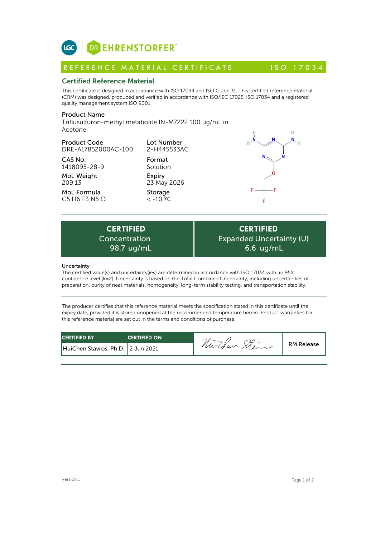

# Certified Reference Material

This certificate is designed in accordance with ISO 17034 and ISO Guide 31. This certified reference material (CRM) was designed, produced and verified in accordance with ISO/IEC 17025, ISO 17034 and a registered quality management system ISO 9001. **ICC**<br> **REFERENCE MATERIAL CERTIFICATE**<br> **REFERENCE MATERIAL CERTIFICATE** ISO 17034<br> **Certified Reference Material**<br>
CFIM) was designed, produced and verified in accordance with ISO 17034 and ISO Guide 31. This certified r

# Product Name

Triflusulfuron-methyl metabolite IN-M7222 100 µg/mL in Acetone

## Product Code

DRE-A17852000AC-100

CAS No. 1418095-28-9

Mol. Weight 209.13

Mol. Formula C5 H6 F3 N5 O Lot Number 2-H445533AC

Format Solution Expiry 23 May 2026

Storage  $\leq$  -10  $^{\circ}$ °C



Expiry<br>
23 May 2026<br>
Storage<br>  $\leq -10^{-9}C$ <br>
<br> **ERTIFIED**<br>
Incentration Exp<br>
98.7 ug/mL<br>
<br> **EXP** Concentration

**CERTIFIED** Expanded Uncertainty (U) 6.6 ug/mL

## Uncertainty

The certified value(s) and uncertainty(ies) are determined in accordance with ISO 17034 with an 95% confidence level (k=2). Uncertainty is based on the Total Combined Uncertainty, including uncertainties of preparation, purity of neat materials, homogeneity, long-term stability testing, and transportation stability.

The producer certifies that this reference material meets the specification stated in this certificate until the expiry date, provided it is stored unopened at the recommended temperature herein. Product warranties for this reference material are set out in the terms and conditions of purchase.

| <b>CERTIFIED BY</b>                 | <b>CERTIFIED ON</b> | -            |                   |
|-------------------------------------|---------------------|--------------|-------------------|
| HuiChen Stavros, Ph.D.   2 Jun 2021 |                     | nurchen Merc | <b>RM Release</b> |